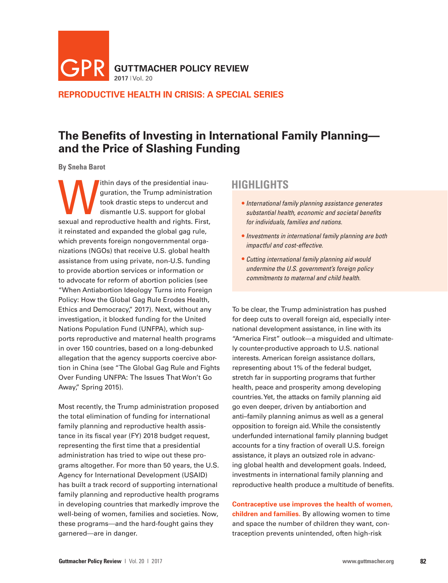**GUTTMACHER POLICY REVIEW**  $GPR$  GUTTMA

**REPRODUCTIVE HEALTH IN CRISIS: A SPECIAL SERIES**

# **The Benefits of Investing in International Family Planning and the Price of Slashing Funding**

**By Sneha Barot**

within days of the presidential inauguration, the Trump administration<br>took drastic steps to undercut and<br>dismantle U.S. support for global<br>sexual and reproductive health and rights First guration, the Trump administration took drastic steps to undercut and dismantle U.S. support for global sexual and reproductive health and rights. First, it reinstated and expanded the global gag rule, which prevents foreign nongovernmental organizations (NGOs) that receive U.S. global health assistance from using private, non-U.S. funding to provide abortion services or information or to advocate for reform of abortion policies (see "When Antiabortion Ideology Turns into Foreign Policy: How the Global Gag Rule Erodes Health, Ethics and Democracy," 2017). Next, without any investigation, it blocked funding for the United Nations Population Fund (UNFPA), which supports reproductive and maternal health programs in over 150 countries, based on a long-debunked allegation that the agency supports coercive abortion in China (see "The Global Gag Rule and Fights Over Funding UNFPA: The Issues That Won't Go Away," Spring 2015).

Most recently, the Trump administration proposed the total elimination of funding for international family planning and reproductive health assistance in its fiscal year (FY) 2018 budget request, representing the first time that a presidential administration has tried to wipe out these programs altogether. For more than 50 years, the U.S. Agency for International Development (USAID) has built a track record of supporting international family planning and reproductive health programs in developing countries that markedly improve the well-being of women, families and societies. Now, these programs—and the hard-fought gains they garnered—are in danger.

# **HIGHLIGHTS**

- *International family planning assistance generates substantial health, economic and societal benefits for individuals, families and nations.*
- *Investments in international family planning are both impactful and cost-effective.*
- *Cutting international family planning aid would undermine the U.S. government's foreign policy commitments to maternal and child health.*

To be clear, the Trump administration has pushed for deep cuts to overall foreign aid, especially international development assistance, in line with its "America First" outlook—a misguided and ultimately counter-productive approach to U.S. national interests. American foreign assistance dollars, representing about 1% of the federal budget, stretch far in supporting programs that further health, peace and prosperity among developing countries. Yet, the attacks on family planning aid go even deeper, driven by antiabortion and anti–family planning animus as well as a general opposition to foreign aid. While the consistently underfunded international family planning budget accounts for a tiny fraction of overall U.S. foreign assistance, it plays an outsized role in advancing global health and development goals. Indeed, investments in international family planning and reproductive health produce a multitude of benefits.

**Contraceptive use improves the health of women, children and families.** By allowing women to time and space the number of children they want, contraception prevents unintended, often high-risk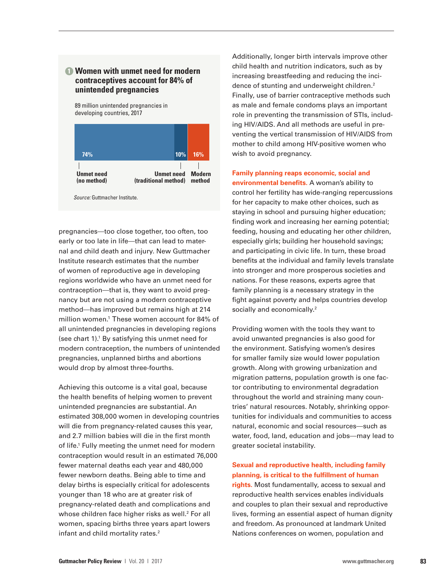### **1 Women with unmet need for modern contraceptives account for 84% of unintended pregnancies**

89 million unintended pregnancies in developing countries, 2017



*Source:* Guttmacher Institute.

pregnancies—too close together, too often, too early or too late in life—that can lead to maternal and child death and injury. New Guttmacher Institute research estimates that the number of women of reproductive age in developing regions worldwide who have an unmet need for contraception—that is, they want to avoid pregnancy but are not using a modern contraceptive method—has improved but remains high at 214 million women.1 These women account for 84% of all unintended pregnancies in developing regions (see chart 1).1 By satisfying this unmet need for modern contraception, the numbers of unintended pregnancies, unplanned births and abortions would drop by almost three-fourths.

Achieving this outcome is a vital goal, because the health benefits of helping women to prevent unintended pregnancies are substantial. An estimated 308,000 women in developing countries will die from pregnancy-related causes this year, and 2.7 million babies will die in the first month of life.<sup>1</sup> Fully meeting the unmet need for modern contraception would result in an estimated 76,000 fewer maternal deaths each year and 480,000 fewer newborn deaths. Being able to time and delay births is especially critical for adolescents younger than 18 who are at greater risk of pregnancy-related death and complications and whose children face higher risks as well.<sup>2</sup> For all women, spacing births three years apart lowers infant and child mortality rates.<sup>2</sup>

Additionally, longer birth intervals improve other child health and nutrition indicators, such as by increasing breastfeeding and reducing the incidence of stunting and underweight children.<sup>2</sup> Finally, use of barrier contraceptive methods such as male and female condoms plays an important role in preventing the transmission of STIs, including HIV/AIDS. And all methods are useful in preventing the vertical transmission of HIV/AIDS from mother to child among HIV-positive women who wish to avoid pregnancy.

**Family planning reaps economic, social and environmental benefits.** A woman's ability to control her fertility has wide-ranging repercussions for her capacity to make other choices, such as staying in school and pursuing higher education; finding work and increasing her earning potential; feeding, housing and educating her other children, especially girls; building her household savings; and participating in civic life. In turn, these broad benefits at the individual and family levels translate into stronger and more prosperous societies and nations. For these reasons, experts agree that family planning is a necessary strategy in the fight against poverty and helps countries develop socially and economically.<sup>2</sup>

Providing women with the tools they want to avoid unwanted pregnancies is also good for the environment. Satisfying women's desires for smaller family size would lower population growth. Along with growing urbanization and migration patterns, population growth is one factor contributing to environmental degradation throughout the world and straining many countries' natural resources. Notably, shrinking opportunities for individuals and communities to access natural, economic and social resources—such as water, food, land, education and jobs—may lead to greater societal instability.

**Sexual and reproductive health, including family planning, is critical to the fulfillment of human** 

**rights.** Most fundamentally, access to sexual and reproductive health services enables individuals and couples to plan their sexual and reproductive lives, forming an essential aspect of human dignity and freedom. As pronounced at landmark United Nations conferences on women, population and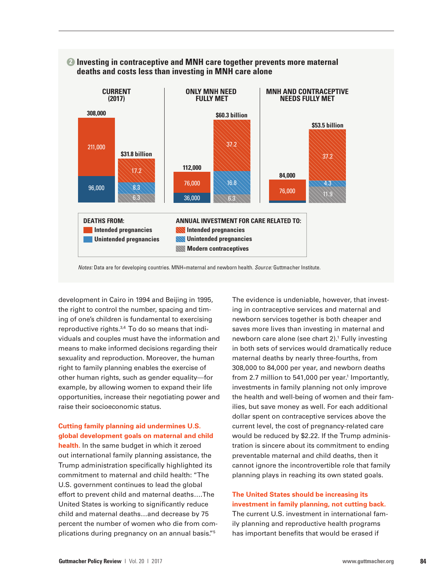

### **2 Investing in contraceptive and MNH care together prevents more maternal deaths and costs less than investing in MNH care alone**

*Notes:* Data are for developing countries. MNH=maternal and newborn health. *Source:* Guttmacher Institute.

development in Cairo in 1994 and Beijing in 1995, the right to control the number, spacing and timing of one's children is fundamental to exercising reproductive rights.<sup>3,4</sup> To do so means that individuals and couples must have the information and means to make informed decisions regarding their sexuality and reproduction. Moreover, the human right to family planning enables the exercise of other human rights, such as gender equality—for example, by allowing women to expand their life opportunities, increase their negotiating power and raise their socioeconomic status.

## **Cutting family planning aid undermines U.S. global development goals on maternal and child**

**health.** In the same budget in which it zeroed out international family planning assistance, the Trump administration specifically highlighted its commitment to maternal and child health: "The U.S. government continues to lead the global effort to prevent child and maternal deaths….The United States is working to significantly reduce child and maternal deaths…and decrease by 75 percent the number of women who die from complications during pregnancy on an annual basis."5

The evidence is undeniable, however, that investing in contraceptive services and maternal and newborn services together is both cheaper and saves more lives than investing in maternal and newborn care alone (see chart 2).<sup>1</sup> Fully investing in both sets of services would dramatically reduce maternal deaths by nearly three-fourths, from 308,000 to 84,000 per year, and newborn deaths from 2.7 million to 541,000 per year.<sup>1</sup> Importantly, investments in family planning not only improve the health and well-being of women and their families, but save money as well. For each additional dollar spent on contraceptive services above the current level, the cost of pregnancy-related care would be reduced by \$2.22. If the Trump administration is sincere about its commitment to ending preventable maternal and child deaths, then it cannot ignore the incontrovertible role that family planning plays in reaching its own stated goals.

#### **The United States should be increasing its investment in family planning, not cutting back.**

The current U.S. investment in international family planning and reproductive health programs has important benefits that would be erased if